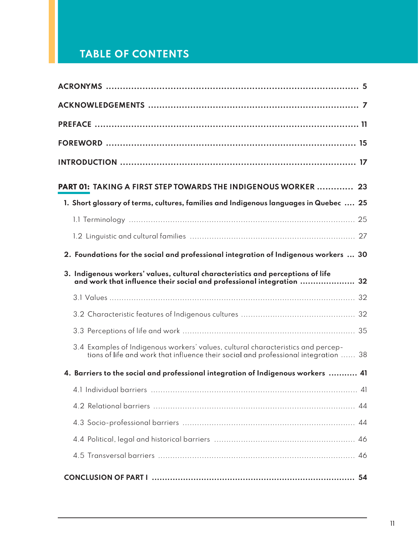## TABLE OF CONTENTS

| <b>TABLE OF CONTENTS</b> |                                                                                                                                                                         |
|--------------------------|-------------------------------------------------------------------------------------------------------------------------------------------------------------------------|
|                          |                                                                                                                                                                         |
|                          |                                                                                                                                                                         |
|                          |                                                                                                                                                                         |
|                          |                                                                                                                                                                         |
|                          |                                                                                                                                                                         |
|                          |                                                                                                                                                                         |
|                          |                                                                                                                                                                         |
|                          | <b>PART 01: TAKING A FIRST STEP TOWARDS THE INDIGENOUS WORKER  23</b>                                                                                                   |
|                          | 1. Short glossary of terms, cultures, families and Indigenous languages in Quebec  25                                                                                   |
|                          |                                                                                                                                                                         |
|                          |                                                                                                                                                                         |
|                          | 2. Foundations for the social and professional integration of Indigenous workers  30                                                                                    |
|                          | 3. Indigenous workers' values, cultural characteristics and perceptions of life<br>and work that influence their social and professional integration  32                |
|                          |                                                                                                                                                                         |
|                          |                                                                                                                                                                         |
|                          |                                                                                                                                                                         |
|                          | 3.4 Examples of Indigenous workers' values, cultural characteristics and percep-<br>tions of life and work that influence their social and professional integration  38 |
|                          | 4. Barriers to the social and professional integration of Indigenous workers  41                                                                                        |
|                          |                                                                                                                                                                         |
|                          |                                                                                                                                                                         |
|                          |                                                                                                                                                                         |
|                          |                                                                                                                                                                         |
|                          |                                                                                                                                                                         |
|                          |                                                                                                                                                                         |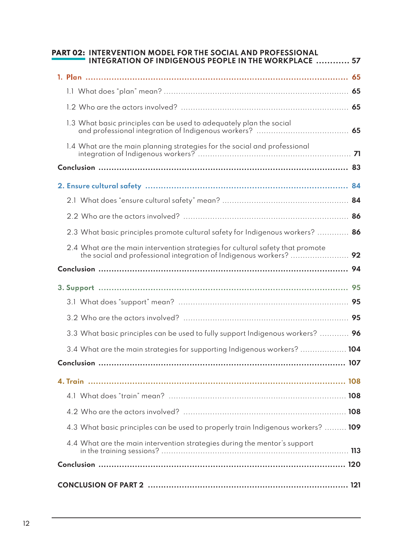| PART 02: INTERVENTION MODEL FOR THE SOCIAL AND PROFESSIONAL                      |     |
|----------------------------------------------------------------------------------|-----|
|                                                                                  |     |
| <b>INTEGRATION OF INDIGENOUS PEOPLE IN THE WORKPLACE  57</b>                     |     |
|                                                                                  |     |
|                                                                                  |     |
|                                                                                  |     |
|                                                                                  |     |
| 1.3 What basic principles can be used to adequately plan the social              |     |
| 1.4 What are the main planning strategies for the social and professional        |     |
|                                                                                  |     |
|                                                                                  |     |
|                                                                                  |     |
|                                                                                  |     |
|                                                                                  |     |
| 2.3 What basic principles promote cultural safety for Indigenous workers?        | -86 |
| 2.4 What are the main intervention strategies for cultural safety that promote   |     |
|                                                                                  |     |
|                                                                                  |     |
|                                                                                  |     |
|                                                                                  |     |
|                                                                                  |     |
| 3.3 What basic principles can be used to fully support Indigenous workers?  96   |     |
| 3.4 What are the main strategies for supporting Indigenous workers?  104         |     |
|                                                                                  |     |
|                                                                                  |     |
|                                                                                  |     |
|                                                                                  |     |
| 4.3 What basic principles can be used to properly train Indigenous workers?  109 |     |
| 4.4 What are the main intervention strategies during the mentor's support        |     |
|                                                                                  |     |
|                                                                                  |     |